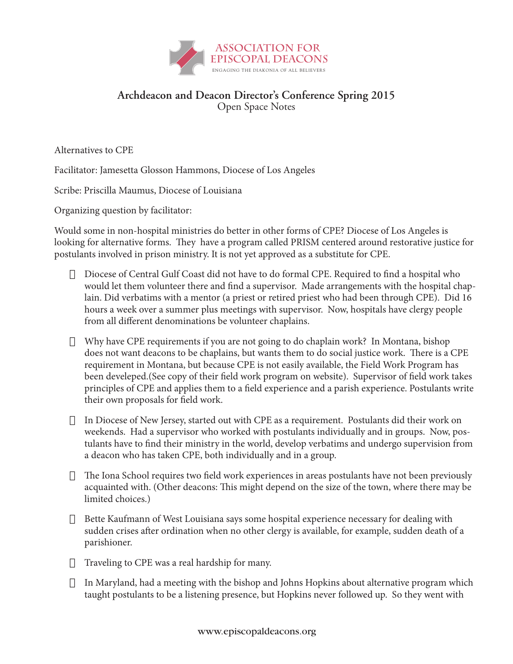

## **Archdeacon and Deacon Director's Conference Spring 2015** Open Space Notes

Alternatives to CPE

Facilitator: Jamesetta Glosson Hammons, Diocese of Los Angeles

Scribe: Priscilla Maumus, Diocese of Louisiana

Organizing question by facilitator:

Would some in non-hospital ministries do better in other forms of CPE? Diocese of Los Angeles is looking for alternative forms. They have a program called PRISM centered around restorative justice for postulants involved in prison ministry. It is not yet approved as a substitute for CPE.

- $\Box$  Diocese of Central Gulf Coast did not have to do formal CPE. Required to find a hospital who would let them volunteer there and find a supervisor. Made arrangements with the hospital chaplain. Did verbatims with a mentor (a priest or retired priest who had been through CPE). Did 16 hours a week over a summer plus meetings with supervisor. Now, hospitals have clergy people from all different denominations be volunteer chaplains.
- $\Box$  Why have CPE requirements if you are not going to do chaplain work? In Montana, bishop does not want deacons to be chaplains, but wants them to do social justice work. There is a CPE requirement in Montana, but because CPE is not easily available, the Field Work Program has been develeped.(See copy of their field work program on website). Supervisor of field work takes principles of CPE and applies them to a field experience and a parish experience. Postulants write their own proposals for field work.
- $\Box$  In Diocese of New Jersey, started out with CPE as a requirement. Postulants did their work on weekends. Had a supervisor who worked with postulants individually and in groups. Now, postulants have to find their ministry in the world, develop verbatims and undergo supervision from a deacon who has taken CPE, both individually and in a group.
- $\Box$  The Iona School requires two field work experiences in areas postulants have not been previously acquainted with. (Other deacons: This might depend on the size of the town, where there may be limited choices.)
- $\Box$  Bette Kaufmann of West Louisiana says some hospital experience necessary for dealing with sudden crises after ordination when no other clergy is available, for example, sudden death of a parishioner.
- $\Box$  Traveling to CPE was a real hardship for many.
- $\Box$  In Maryland, had a meeting with the bishop and Johns Hopkins about alternative program which taught postulants to be a listening presence, but Hopkins never followed up. So they went with